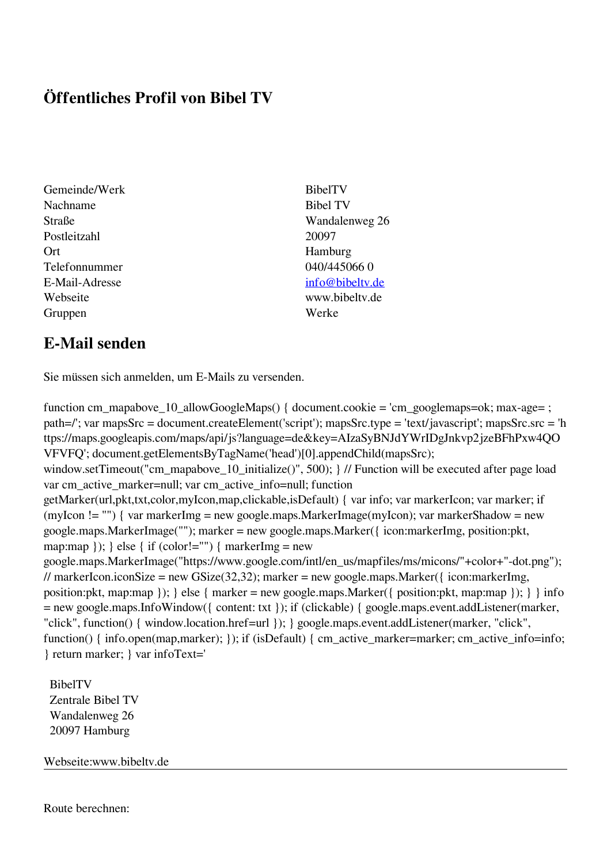## **Öffentliches Profil von Bibel TV**

- Gemeinde/Werk BibelTV Nachname Bibel TV Postleitzahl 20097 Ort Hamburg Telefonnummer 040/445066 0 E-Mail-Adresse [info@bibeltv.de](mailto:info@bibeltv.de) Webseite www.bibeltv.de Gruppen Werke
- Straße Wandalenweg 26

## **E-Mail senden**

Sie müssen sich anmelden, um E-Mails zu versenden.

function cm\_mapabove\_10\_allowGoogleMaps() { document.cookie = 'cm\_googlemaps=ok; max-age= ; path=/'; var mapsSrc = document.createElement('script'); mapsSrc.type = 'text/javascript'; mapsSrc.src = 'h ttps://maps.googleapis.com/maps/api/js?language=de&key=AIzaSyBNJdYWrIDgJnkvp2jzeBFhPxw4QO VFVFQ'; document.getElementsByTagName('head')[0].appendChild(mapsSrc); window.setTimeout("cm\_mapabove\_10\_initialize()", 500); } // Function will be executed after page load var cm\_active\_marker=null; var cm\_active\_info=null; function getMarker(url,pkt,txt,color,myIcon,map,clickable,isDefault) { var info; var markerIcon; var marker; if (myIcon != "") { var markerImg = new google.maps.MarkerImage(myIcon); var markerShadow = new google.maps.MarkerImage(""); marker = new google.maps.Marker({ icon:markerImg, position:pkt, map:map  $\}$ ;  $\}$  else  $\{$  if (color!="")  $\{$  markerImg = new google.maps.MarkerImage("https://www.google.com/intl/en\_us/mapfiles/ms/micons/"+color+"-dot.png"); // markerIcon.iconSize = new GSize(32,32); marker = new google.maps.Marker({ $\epsilon$  icon:markerImg, position:pkt, map:map  $\}$ ;  $\}$  else  $\{$  marker = new google.maps.Marker $(\{$  position:pkt, map:map  $\})$ ;  $\}$  info = new google.maps.InfoWindow({ content: txt }); if (clickable) { google.maps.event.addListener(marker, "click", function() { window.location.href=url }); } google.maps.event.addListener(marker, "click", function() { info.open(map,marker); }); if (isDefault) { cm\_active\_marker=marker; cm\_active\_info=info; } return marker; } var infoText='

 BibelTV Zentrale Bibel TV Wandalenweg 26 20097 Hamburg

Webseite:www.bibeltv.de

Route berechnen: